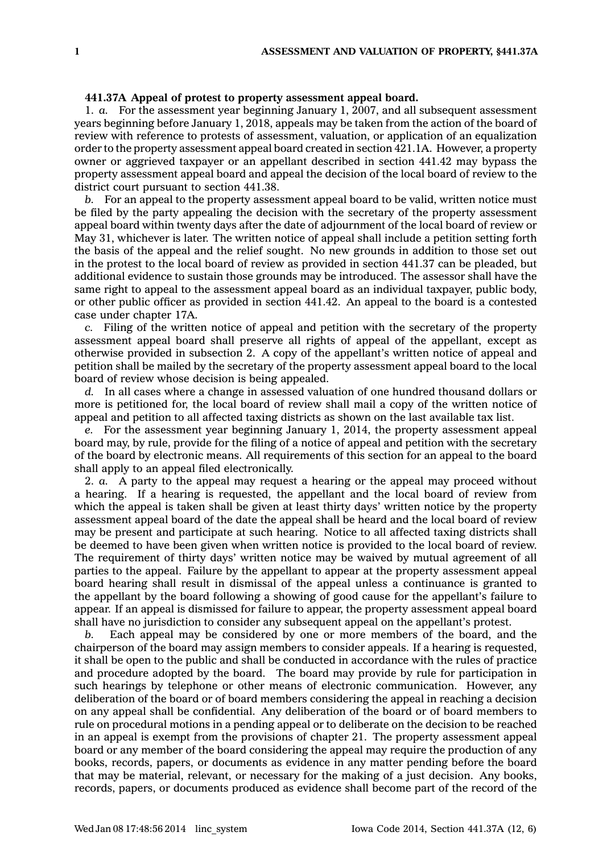## **441.37A Appeal of protest to property assessment appeal board.**

1. *a.* For the assessment year beginning January 1, 2007, and all subsequent assessment years beginning before January 1, 2018, appeals may be taken from the action of the board of review with reference to protests of assessment, valuation, or application of an equalization order to the property assessment appeal board created in section 421.1A. However, <sup>a</sup> property owner or aggrieved taxpayer or an appellant described in section 441.42 may bypass the property assessment appeal board and appeal the decision of the local board of review to the district court pursuant to section 441.38.

*b.* For an appeal to the property assessment appeal board to be valid, written notice must be filed by the party appealing the decision with the secretary of the property assessment appeal board within twenty days after the date of adjournment of the local board of review or May 31, whichever is later. The written notice of appeal shall include <sup>a</sup> petition setting forth the basis of the appeal and the relief sought. No new grounds in addition to those set out in the protest to the local board of review as provided in section 441.37 can be pleaded, but additional evidence to sustain those grounds may be introduced. The assessor shall have the same right to appeal to the assessment appeal board as an individual taxpayer, public body, or other public officer as provided in section 441.42. An appeal to the board is <sup>a</sup> contested case under chapter 17A.

*c.* Filing of the written notice of appeal and petition with the secretary of the property assessment appeal board shall preserve all rights of appeal of the appellant, except as otherwise provided in subsection 2. A copy of the appellant's written notice of appeal and petition shall be mailed by the secretary of the property assessment appeal board to the local board of review whose decision is being appealed.

*d.* In all cases where <sup>a</sup> change in assessed valuation of one hundred thousand dollars or more is petitioned for, the local board of review shall mail <sup>a</sup> copy of the written notice of appeal and petition to all affected taxing districts as shown on the last available tax list.

*e.* For the assessment year beginning January 1, 2014, the property assessment appeal board may, by rule, provide for the filing of <sup>a</sup> notice of appeal and petition with the secretary of the board by electronic means. All requirements of this section for an appeal to the board shall apply to an appeal filed electronically.

2. *a.* A party to the appeal may request <sup>a</sup> hearing or the appeal may proceed without <sup>a</sup> hearing. If <sup>a</sup> hearing is requested, the appellant and the local board of review from which the appeal is taken shall be given at least thirty days' written notice by the property assessment appeal board of the date the appeal shall be heard and the local board of review may be present and participate at such hearing. Notice to all affected taxing districts shall be deemed to have been given when written notice is provided to the local board of review. The requirement of thirty days' written notice may be waived by mutual agreement of all parties to the appeal. Failure by the appellant to appear at the property assessment appeal board hearing shall result in dismissal of the appeal unless <sup>a</sup> continuance is granted to the appellant by the board following <sup>a</sup> showing of good cause for the appellant's failure to appear. If an appeal is dismissed for failure to appear, the property assessment appeal board shall have no jurisdiction to consider any subsequent appeal on the appellant's protest.

*b.* Each appeal may be considered by one or more members of the board, and the chairperson of the board may assign members to consider appeals. If <sup>a</sup> hearing is requested, it shall be open to the public and shall be conducted in accordance with the rules of practice and procedure adopted by the board. The board may provide by rule for participation in such hearings by telephone or other means of electronic communication. However, any deliberation of the board or of board members considering the appeal in reaching <sup>a</sup> decision on any appeal shall be confidential. Any deliberation of the board or of board members to rule on procedural motions in <sup>a</sup> pending appeal or to deliberate on the decision to be reached in an appeal is exempt from the provisions of chapter 21. The property assessment appeal board or any member of the board considering the appeal may require the production of any books, records, papers, or documents as evidence in any matter pending before the board that may be material, relevant, or necessary for the making of <sup>a</sup> just decision. Any books, records, papers, or documents produced as evidence shall become part of the record of the